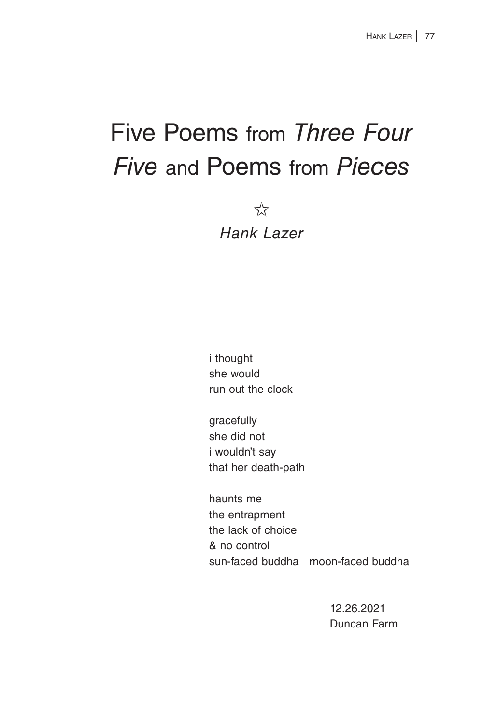## Five Poems from *Three Four Five* and Poems from *Pieces*

 $\overrightarrow{\lambda}$ 

*Hank Lazer*

 i thought she would run out the clock

 gracefully she did not i wouldn't say that her death-path

 haunts me the entrapment the lack of choice & no control sun-faced buddha moon-faced buddha

> 12.26.2021 Duncan Farm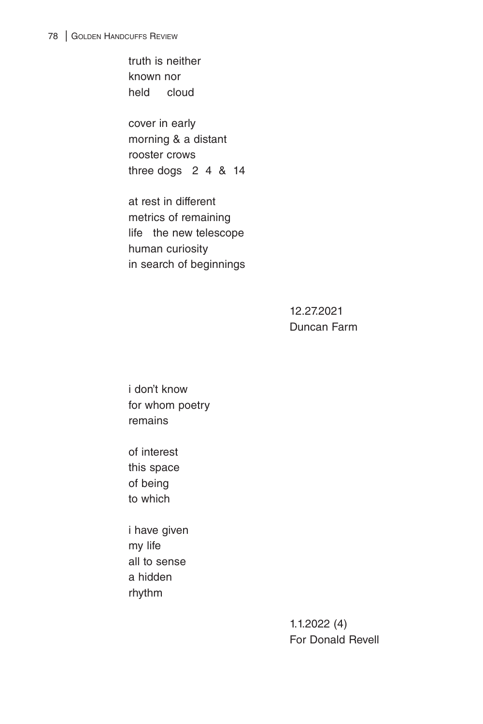truth is neither known nor held cloud

 cover in early morning & a distant rooster crows three dogs 2 4 & 14

 at rest in different metrics of remaining life the new telescope human curiosity in search of beginnings

> 12.27.2021 Duncan Farm

 i don't know for whom poetry remains

 of interest this space of being to which

 i have given my life all to sense a hidden rhythm

> 1.1.2022 (4) For Donald Revell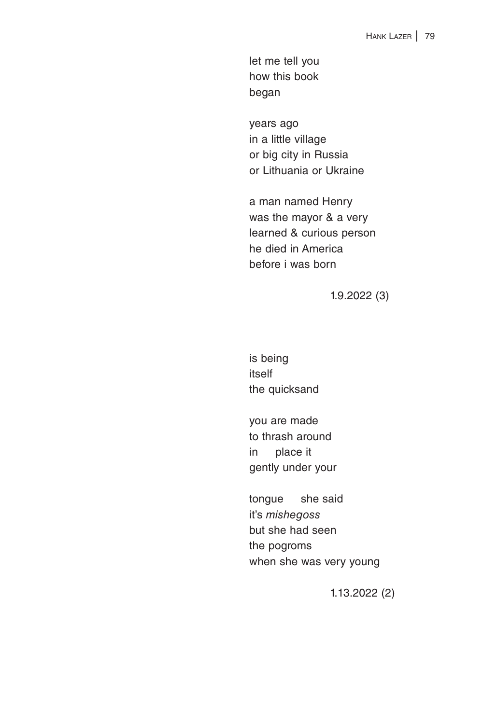let me tell you how this book began

 years ago in a little village or big city in Russia or Lithuania or Ukraine

 a man named Henry was the mayor & a very learned & curious person he died in America before i was born

1.9.2022 (3)

 is being itself the quicksand

 you are made to thrash around in place it gently under your

 tongue she said it's *mishegoss* but she had seen the pogroms when she was very young

1.13.2022 (2)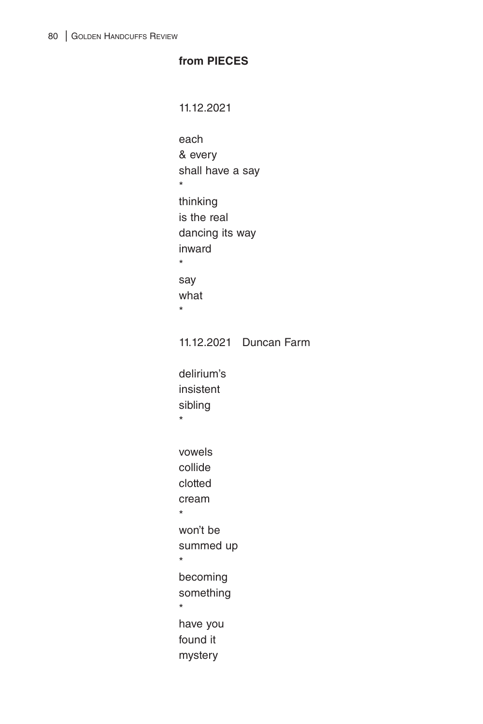## **from PIECES**

11.12.2021 each & every shall have a say \* thinking is the real dancing its way inward \* say what \* 11.12.2021 Duncan Farm delirium's insistent sibling \* vowels collide clotted cream \* won't be summed up \* becoming something \* have you found it mystery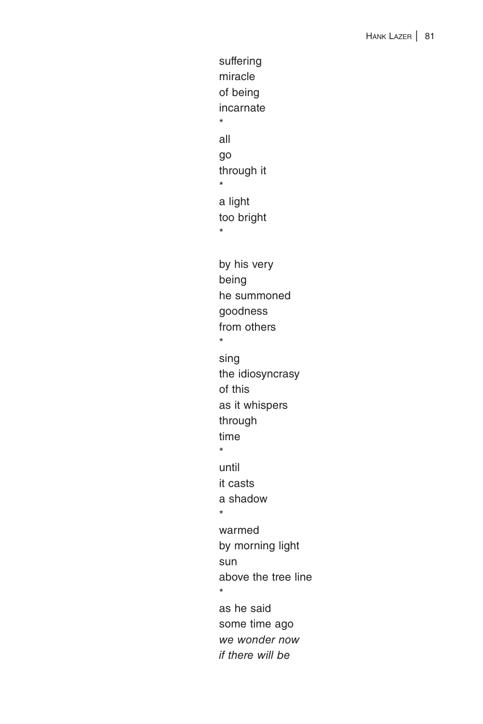suffering miracle of being incarnate \* all go through it \* a light too bright \* by his very being he summoned goodness from others \* sing the idiosyncrasy of this as it whispers through time \* until it casts a shadow \* warmed by morning light sun above the tree line \* as he said some time ago *we wonder now if there will be*